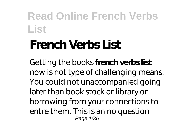# **French Verbs List**

Getting the books **french verbs list** now is not type of challenging means. You could not unaccompanied going later than book stock or library or borrowing from your connections to entre them. This is an no question Page 1/36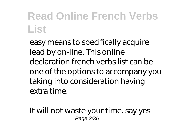easy means to specifically acquire lead by on-line. This online declaration french verbs list can be one of the options to accompany you taking into consideration having extra time.

It will not waste your time. say yes Page 2/36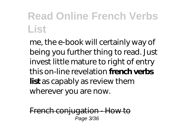me, the e-book will certainly way of being you further thing to read. Just invest little mature to right of entry this on-line revelation **french verbs list** as capably as review them wherever you are now.

French conjugation - How to Page 3/36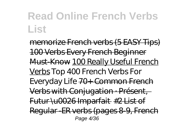memorize French verbs (5 EASY Tips) 100 Verbs Every French Beginner Must-Know 100 Really Useful French Verbs *Top 400 French Verbs For Everyday Life* 70+ Common French Verbs with Conjugation · Présent, Futur \u0026 Imparfait #2 List of Regular -ER verbs (pages 8-9, French Page 4/36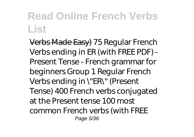Verbs Made Easy) 75 Regular French Verbs ending in ER (with FREE PDF) - Present Tense - French grammar for beginners *Group 1 Regular French Verbs ending in \"ER\" (Present Tense) 400 French verbs conjugated at the Present tense 100 most common French verbs (with FREE* Page 5/36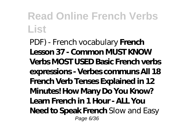*PDF) - French vocabulary* **French Lesson 37 - Common MUST KNOW Verbs MOST USED Basic French verbs expressions - Verbes communs All 18 French Verb Tenses Explained in 12 Minutes! How Many Do You Know? Learn French in 1 Hour - ALL You Need to Speak French** *Slow and Easy* Page 6/36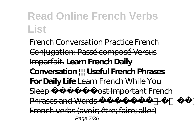*French Conversation Practice* French Conjugation: Passé composé Versus Imparfait. **Learn French Daily Conversation ||| Useful French Phrases For Daily Life** Learn French While You Sleep Most Important French Phrases and Words English/French French verbs (avoir; être; faire; aller) Page 7/36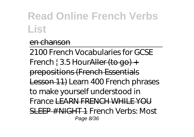#### en chanson

2100 French Vocabularies for GCSE French  $\frac{1}{2}$  3.5 Hour Aller (to go) + prepositions (French Essentials Lesson 11) *Learn 400 French phrases to make yourself understood in France* LEARN FRENCH WHILE YOU SLEEP # NIGHT 1 *French Verbs: Most* Page 8/36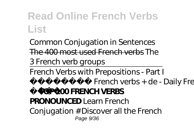*Common Conjugation in Sentences* The 400 most used French verbs *The 3 French verb groups*

French Verbs with Prepositions - Part I French verbs + de - Daily French **TOP 100 FRENCH VERBS PRONOUNCED** *Learn French Conjugation # Discover all the French* Page 9/36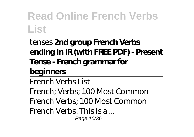#### *tenses* **2nd group French Verbs ending in IR (with FREE PDF) - Present Tense - French grammar for**

#### **beginners**

French Verbs List French; Verbs; 100 Most Common French Verbs; 100 Most Common French Verbs. This is a ... Page 10/36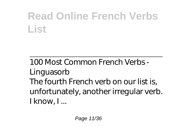100 Most Common French Verbs - Linguasorb The fourth French verb on our list is, unfortunately, another irregular verb. I know, I ...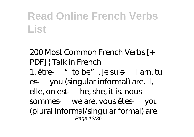#### 200 Most Common French Verbs [+ PDF] | Talk in French 1. être  $-$  "to be". je suis  $-$  I am. tu es — you (singular informal) are. il, elle, on est — he, she, it is. nous sommes — we are. vous êtes — you (plural informal/singular formal) are. Page 12/36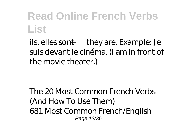ils, elles sont — they are. Example: Je suis devant le cinéma. (I am in front of the movie theater.)

The 20 Most Common French Verbs (And How To Use Them) 681 Most Common French/English Page 13/36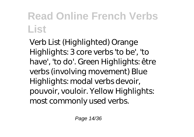Verb List (Highlighted) Orange Highlights: 3 core verbs 'to be', 'to have', 'to do'. Green Highlights: être verbs (involving movement) Blue Highlights: modal verbs devoir, pouvoir, vouloir. Yellow Highlights: most commonly used verbs.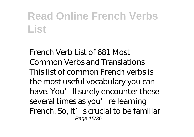French Verb List of 681 Most Common Verbs and Translations This list of common French verbs is the most useful vocabulary you can have. You'll surely encounter these several times as you're learning French. So, it' s crucial to be familiar Page 15/36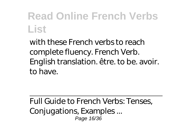with these French verbs to reach complete fluency. French Verb. English translation. être. to be. avoir. to have.

Full Guide to French Verbs: Tenses, Conjugations, Examples ... Page 16/36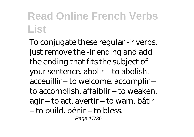To conjugate these regular -ir verbs, just remove the -ir ending and add the ending that fits the subject of your sentence. abolir – to abolish. acceuillir – to welcome. accomplir – to accomplish. affaiblir – to weaken. agir – to act. avertir – to warn. bâtir – to build. bénir – to bless. Page 17/36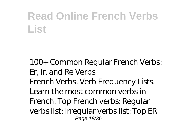100+ Common Regular French Verbs: Er, Ir, and Re Verbs French Verbs. Verb Frequency Lists. Learn the most common verbs in French. Top French verbs: Regular verbs list: Irregular verbs list: Top ER Page 18/36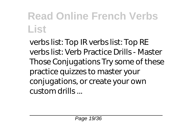verbs list: Top IR verbs list: Top RE verbs list: Verb Practice Drills - Master Those Conjugations Try some of these practice quizzes to master your conjugations, or create your own custom drills ...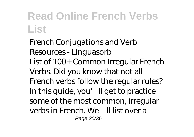French Conjugations and Verb Resources - Linguasorb List of 100+ Common Irregular French Verbs. Did you know that not all French verbs follow the regular rules? In this guide, you'll get to practice some of the most common, irregular verbs in French. We'll list over a Page 20/36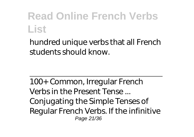hundred unique verbs that all French students should know.

100+ Common, Irregular French Verbs in the Present Tense ... Conjugating the Simple Tenses of Regular French Verbs. If the infinitive Page 21/36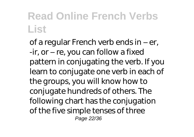of a regular French verb ends in – er, -ir, or – re, you can follow a fixed pattern in conjugating the verb. If you learn to conjugate one verb in each of the groups, you will know how to conjugate hundreds of others. The following chart has the conjugation of the five simple tenses of three Page 22/36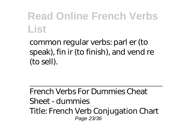common regular verbs: parl er (to speak), fin ir (to finish), and vend re (to sell).

French Verbs For Dummies Cheat Sheet - dummies Title: French Verb Conjugation Chart Page 23/36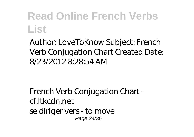Author: LoveToKnow Subject: French Verb Conjugation Chart Created Date: 8/23/2012 8:28:54 AM

French Verb Conjugation Chart cf.ltkcdn.net se diriger vers - to move Page 24/36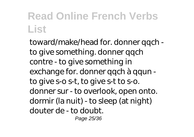toward/make/head for. donner qqch to give something. donner qqch contre - to give something in exchange for. donner qqch à qqun to give s-o s-t, to give s-t to s-o. donner sur - to overlook, open onto. dormir (la nuit) - to sleep (at night) douter de - to doubt.

Page 25/36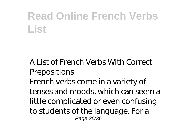A List of French Verbs With Correct Prepositions French verbs come in a variety of tenses and moods, which can seem a little complicated or even confusing to students of the language. For a Page 26/36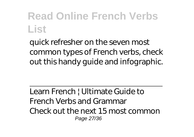quick refresher on the seven most common types of French verbs, check out this handy guide and infographic.

Learn French | Ultimate Guide to French Verbs and Grammar Check out the next 15 most common Page 27/36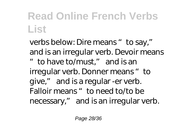verbs below: Dire means "to say," and is an irregular verb. Devoir means "to have to/must," and is an irregular verb. Donner means "to give," and is a regular -er verb. Falloir means "to need to/to be necessary," and is an irregular verb.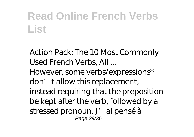Action Pack: The 10 Most Commonly Used French Verbs, All ...

However, some verbs/expressions\* don' tallow this replacement, instead requiring that the preposition be kept after the verb, followed by a stressed pronoun. J' ai pensé à Page 29/36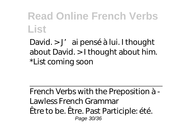David. > J' ai pensé à lui. I thought about David. > I thought about him. \*List coming soon

French Verbs with the Preposition à - Lawless French Grammar Être to be. Être. Past Participle: été. Page 30/36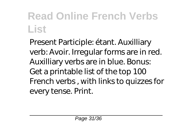Present Participle: étant. Auxilliary verb: Avoir. Irregular forms are in red. Auxilliary verbs are in blue. Bonus: Get a printable list of the top 100 French verbs , with links to quizzes for every tense. Print.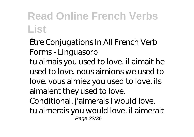Être Conjugations In All French Verb Forms - Linguasorb tu aimais you used to love. il aimait he used to love. nous aimions we used to love. vous aimiez you used to love. ils aimaient they used to love. Conditional. j'aimerais I would love. tu aimerais you would love. il aimerait Page 32/36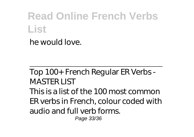he would love.

Top 100+ French Regular ER Verbs - MASTER LIST This is a list of the 100 most common ER verbs in French, colour coded with audio and full verb forms. Page 33/36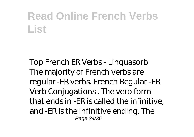Top French ER Verbs - Linguasorb The majority of French verbs are regular -ER verbs. French Regular -ER Verb Conjugations . The verb form that ends in -ER is called the infinitive, and -ER is the infinitive ending. The Page 34/36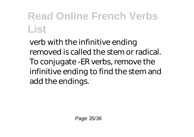verb with the infinitive ending removed is called the stem or radical. To conjugate -ER verbs, remove the infinitive ending to find the stem and add the endings.